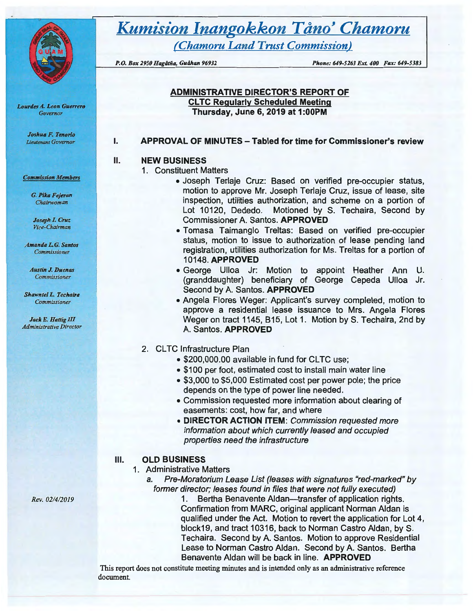

*Lourdes* A. *Leon G11errero Governor* 

> *Joslt11a F. Tenorio Lieutenant Governor*

#### *Commission Members*

*G. Pika Fejeran Chairwoman* 

*Joseph* **1. Crut**  *Vice-Chairman* 

*Amanda L. G. Santos Commissioner* 

*Austin J. Duenas Commissioner* 

**Shawntel L. Techaira** *Commis&ioner* 

*Jack E. Hattig III Administrative Director* 

# **Kumision Inangokkon Tåno' Chamoru**

*(Chamoru Land Trust Commission)* 

*P.O. Box 2950 Hagdtiia, Gudhan 96932 Phone: 649-5263 Ext. 400 Fax: 649-5383* 

#### **ADMINISTRATIVE DIRECTOR'S REPORT OF CL TC Regularly Scheduled Meeting Thursday, June 6, 2019 at 1:00PM**

#### **APPROVAL OF MINUTES -Tabled for time for Commissioner's review**

#### **NEW BUSINESS**

I.

II.

- 1. Constituent Matters
	- Joseph Terlaje Cruz: Based on verified pre-occupier status, motion to approve Mr. Joseph Terlaje Cruz, issue of lease, site inspection, utilities authorization, and scheme on a portion of Lot 10120, Dededo. Motioned by S. Techaira, Second by Commissioner A. Santos. **APPROVED**
	- Tomasa Taimanglo Treltas: Based on verified pre-occupier status, motion to issue to authorization of lease pending land registration, utilities authorization for Ms. Treltas for a portion of 10148. **APPROVED**
	- George Ulloa Jr: Motion to appoint Heather Ann U. (granddaughter) beneficiary of George Cepeda Ulloa Jr. Second by A. Santos. **APPROVED**
	- Angela Flores Weger: Applicant's survey completed, motion to approve a residential lease issuance to Mrs. Angela Flores Weger on tract 1145, B15, Lot 1. Motion by S. Techaira, 2nd by A. Santos. **APPROVED**
- 2. CLTC Infrastructure Plan
	- \$200,000.00 available in fund for CLTC use;
	- \$100 per foot, estimated cost to install main water line
	- \$3,000 to \$5,000 Estimated cost per power pole; the price depends on the type of power line needed.
	- Commission requested more information about clearing of easements: cost, how far, and where
	- **DIRECTOR ACTION ITEM:** Commission requested more information about which currently leased and occupied properties need the infrastructure

## Ill. **OLD BUSINESS**

## 1. Administrative Matters

a. Pre-Moratorium Lease List (leases with signatures "red-marked" by former director; leases found in files that were not fully executed)

1. Bertha Benavente Aldan—transfer of application rights. Confirmation from **MARC,** original applicant Norman Aldan is qualified under the Act. Motion to revert the application for Lot 4, block19, and tract 10316, back to Norman Castro Aldan, by S. Techaira. Second by A. Santos. Motion to approve Residential Lease to Norman Castro Aldan. Second by A. Santos. Bertha Benavente Aldan will be back in line. **APPROVED** 

This report does not constitute meeting minutes and is intended only as an administrative reference document.

*Rev. 02/4/2019*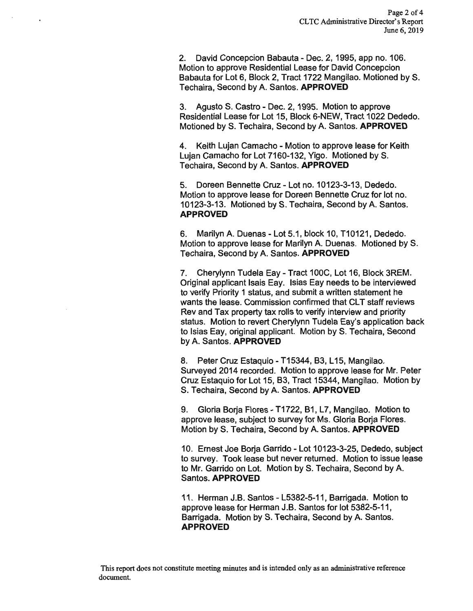2. David Concepcion Babauta - Dec. 2, 1995, app no. 106. Motion to approve Residential Lease for David Concepcion Babauta for Lot 6, Block 2, Tract 1722 Mangilao. Motioned by S. Techaira, Second by A. Santos. **APPROVED** 

3. Agusto S. Castro - Dec. 2, 1995. Motion to approve Residential Lease for Lot 15, Block 6-NEW, Tract 1022 Dededo. Motioned by S. Techaira, Second by A. Santos. **APPROVED** 

4. Keith Lujan Camacho - Motion to approve lease for Keith Lujan Camacho for Lot 7160-132, Yigo. Motioned by S. Techaira, Second by A. Santos. **APPROVED** 

5. Doreen Bennette Cruz - Lot no. 10123-3-13, Dededo. Motion to approve lease for Doreen Bennette Cruz for lot no. 10123-3-13. Motioned by S. Techaira, Second by A. Santos. **APPROVED** 

6. Marilyn A. Duenas- Lot 5.1, block 10, T10121, Dededo. Motion to approve lease for Marilyn A. Duenas. Motioned by S. Techaira, Second by A. Santos. **APPROVED** 

7. Cherylynn Tudela Eay- Tract 100C, Lot 16, Block 3REM. Original applicant Isais Eay. lsias Eay needs to be interviewed to verify Priority 1 status, and submit a written statement he wants the lease. Commission confirmed that CLT staff reviews Rev and Tax property tax rolls to verify interview and priority status. Motion to revert Cherylynn Tudela Eay's application back to lsias Eay, original applicant. Motion by S. Techaira, Second by A. Santos. **APPROVED** 

8. Peter Cruz Estaquio - T15344, B3, L15, Mangilao. Surveyed 2014 recorded. Motion to approve lease for Mr. Peter Cruz Estaquio for Lot 15, B3, Tract 15344, Mangilao. Motion by S. Techaira, Second by A. Santos. **APPROVED** 

9. Gloria Borja Flores - T1722, B1, L7, Mangilao. Motion to approve lease, subject to survey for Ms. Gloria Borja Flores. Motion by S. Techaira, Second by A. Santos. **APPROVED** 

10. Ernest Joe Borja Garrido - Lot 10123-3-25, Dededo, subject to survey. Took lease but never returned. Motion to issue lease to Mr. Garrido on Lot. Motion by S. Techaira, Second by A. Santos. **APPROVED** 

11. Herman J.B. Santos - L5382-5-11, Barrigada. Motion to approve lease for Herman J.B. Santos for lot 5382-5-11, Barrigada. Motion by S. Techaira, Second by A. Santos. **APPROVED**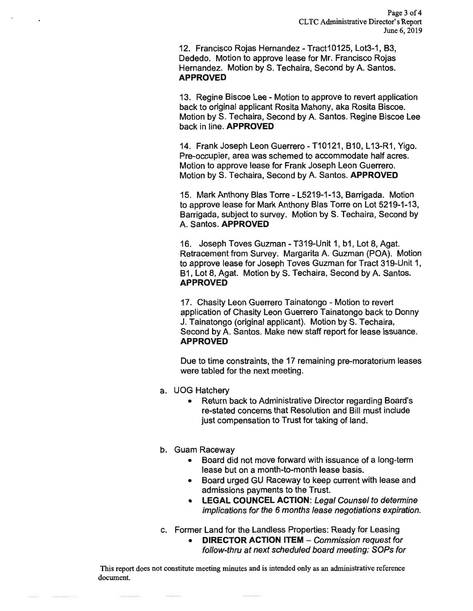12. Francisco Rojas Hernandez - Tract10125, Lot3-1, B3, Dededo. Motion to approve lease for Mr. Francisco Rojas Hernandez. Motion by S. Techaira, Second by A. Santos. **APPROVED** 

13. Regine Biscoe Lee - Motion to approve to revert application back to original applicant Rosita Mahony, aka Rosita Biscoe. Motion by S. Techaira, Second by A. Santos. Regine Biscoe Lee back in line. **APPROVED** 

14. Frank Joseph Leon Guerrero - T10121, B10, L13-R1, Yigo. Pre-occupier, area was schemed to accommodate half acres. Motion to approve lease for Frank Joseph Leon Guerrero. Motion by S. Techaira, Second by A. Santos. **APPROVED** 

15. Mark Anthony Blas Torre - L5219-1-13, Barrigada. Motion to approve lease for Mark Anthony Blas Torre on Lot 5219-1-13, Barrigada, subject to survey. Motion by S. Techaira, Second by A. Santos. **APPROVED** 

16. Joseph Toves Guzman -T319-Unit 1, b1, Lot 8, Agat. Retracement from Survey. Margarita A. Guzman (POA). Motion to approve lease for Joseph Toves Guzman for Tract 319-Unit 1, B1, Lot 8, Agat. Motion by S. Techaira, Second by A. Santos. **APPROVED** 

17. Chasity Leon Guerrero Tainatongo - Motion to revert application of Chasity Leon Guerrero Tainatongo back to Donny J. Tainatongo (original applicant). Motion by S. Techaira, Second by A. Santos. Make new staff report for lease issuance. **APPROVED** 

Due to time constraints, the 17 remaining pre-moratorium leases were tabled for the next meeting.

- a. UOG Hatchery
	- Return back to Administrative Director regarding Board's re-stated concerns that Resolution and Bill must include just compensation to Trust for taking of land.
- b. Guam Raceway
	- Board did not move forward with issuance of a long-term lease but on a month-to-month lease basis.
	- Board urged GU Raceway to keep current with lease and admissions payments to the Trust.
	- **LEGAL COUNCEL ACTION:** Legal Counsel to determine implications for the 6 months lease negotiations expiration.
- c. Former Land for the Landless Properties: Ready for Leasing
	- **DIRECTOR ACTION ITEM Commission request for** follow-thru at next scheduled board meeting: SOPs for

This report does not constitute meeting minutes and is intended only as an administrative reference document.